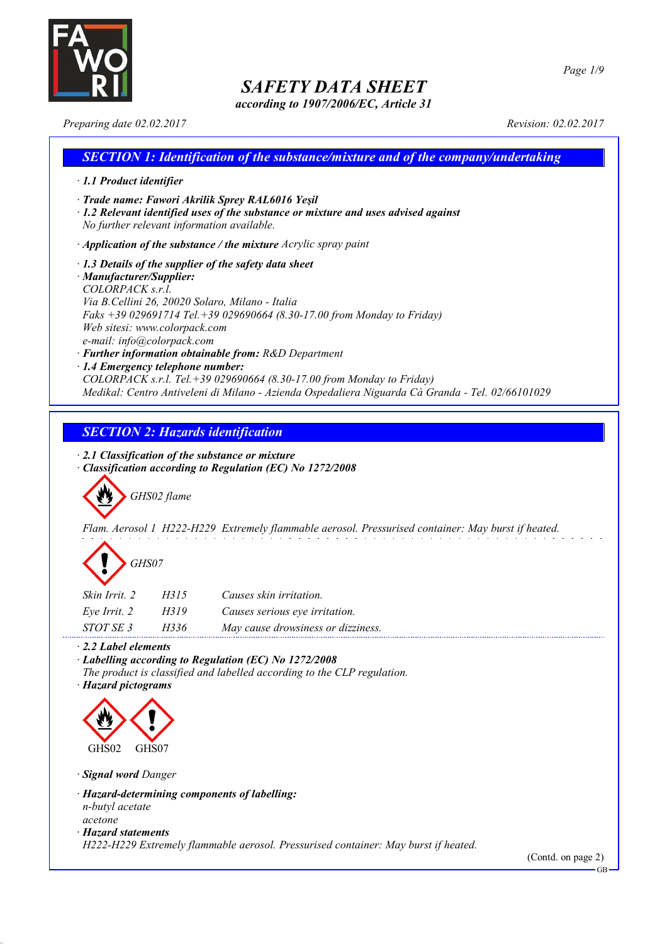

*according to 1907/2006/EC, Article 31*

*Preparing date 02.02.2017 Revision: 02.02.2017*

### *SECTION 1: Identification of the substance/mixture and of the company/undertaking · 1.1 Product identifier · Trade name: Fawori Akrilik Sprey RAL6016 Yeşil · 1.2 Relevant identified uses of the substance or mixture and uses advised against No further relevant information available. · Application of the substance / the mixture Acrylic spray paint · 1.3 Details of the supplier of the safety data sheet · Manufacturer/Supplier: COLORPACK s.r.l. Via B.Cellini 26, 20020 Solaro, Milano - Italia Faks +39 029691714 Tel.+39 029690664 (8.30-17.00 from Monday to Friday) Web sitesi: www.colorpack.com e-mail: info@colorpack.com · Further information obtainable from: R&D Department · 1.4 Emergency telephone number: COLORPACK s.r.l. Tel.+39 029690664 (8.30-17.00 from Monday to Friday) Medikal: Centro Antiveleni di Milano - Azienda Ospedaliera Niguarda Cà Granda - Tel. 02/66101029*

## *SECTION 2: Hazards identification*

*· 2.1 Classification of the substance or mixture*

*· Classification according to Regulation (EC) No 1272/2008*

*GHS02 flame*

*Flam. Aerosol 1 H222-H229 Extremely flammable aerosol. Pressurised container: May burst if heated.*

| GHS07 |
|-------|
|-------|

| Skin Irrit. 2 | H315 | Causes skin irritation.           |
|---------------|------|-----------------------------------|
| Eve Irrit. 2  | H319 | Causes serious eye irritation.    |
| STOT SE 3     | H336 | May cause drowsiness or dizziness |

*· 2.2 Label elements*

*· Labelling according to Regulation (EC) No 1272/2008*

*The product is classified and labelled according to the CLP regulation.*

*· Hazard pictograms*



*· Signal word Danger*

- *· Hazard-determining components of labelling: n-butyl acetate acetone*
- *· Hazard statements*

*H222-H229 Extremely flammable aerosol. Pressurised container: May burst if heated.*

(Contd. on page 2)

GB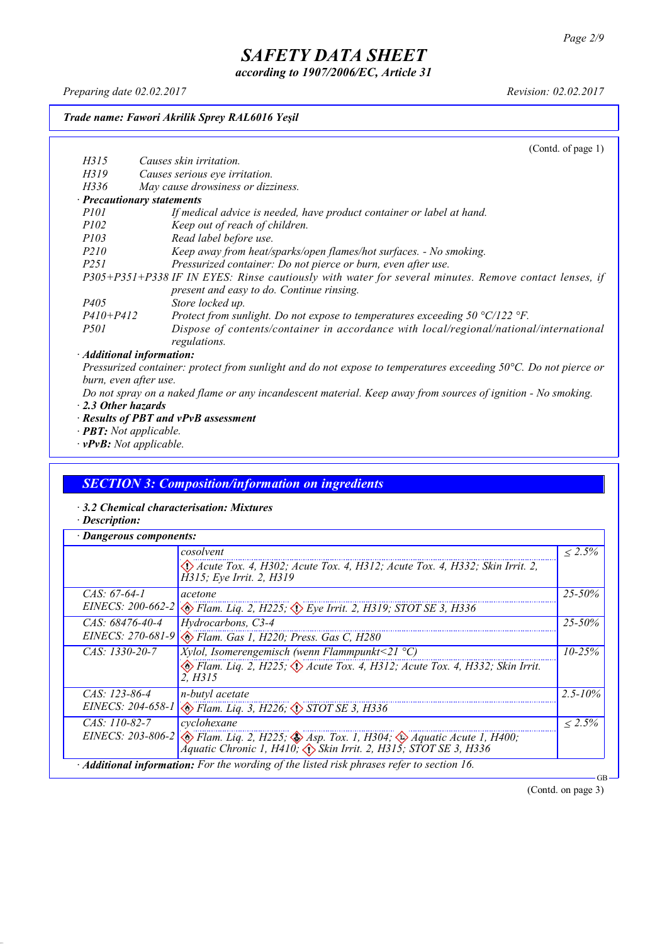*according to 1907/2006/EC, Article 31*

*Preparing date 02.02.2017 Revision: 02.02.2017*

### *Trade name: Fawori Akrilik Sprey RAL6016 Yeşil*

*H315 Causes skin irritation.*

(Contd. of page 1)

| H319             | Causes serious eye irritation.                                                                        |
|------------------|-------------------------------------------------------------------------------------------------------|
| H336             | May cause drowsiness or dizziness.                                                                    |
|                  | $\cdot$ Precautionary statements                                                                      |
| <i>P101</i>      | If medical advice is needed, have product container or label at hand.                                 |
| <i>P102</i>      | Keep out of reach of children.                                                                        |
| <i>P103</i>      | Read label before use.                                                                                |
| <i>P210</i>      | Keep away from heat/sparks/open flames/hot surfaces. - No smoking.                                    |
| P <sub>251</sub> | Pressurized container: Do not pierce or burn, even after use.                                         |
|                  | P305+P351+P338 IF IN EYES: Rinse cautiously with water for several minutes. Remove contact lenses, if |
|                  | present and easy to do. Continue rinsing.                                                             |
| <i>P405</i>      | Store locked up.                                                                                      |
| $P410 + P412$    | Protect from sunlight. Do not expose to temperatures exceeding $50 \degree C/122 \degree F$ .         |
| <i>P501</i>      | Dispose of contents/container in accordance with local/regional/national/international                |
|                  | regulations.                                                                                          |
|                  | $\cdot$ Additional information:                                                                       |

#### *· Additional information:*

Pressurized container: protect from sunlight and do not expose to temperatures exceeding 50°C. Do not pierce or *burn, even after use.*

- Do not spray on a naked flame or any incandescent material. Keep away from sources of ignition No smoking. *· 2.3 Other hazards*
- *· Results of PBT and vPvB assessment*
- *· PBT: Not applicable.*
- *· vPvB: Not applicable.*

### *SECTION 3: Composition/information on ingredients*

*· 3.2 Chemical characterisation: Mixtures*

*· Description:*

| <b>Dangerous components:</b> |                                                                                                                                                                                                        |              |
|------------------------------|--------------------------------------------------------------------------------------------------------------------------------------------------------------------------------------------------------|--------------|
|                              | cosolvent                                                                                                                                                                                              | $\leq 2.5\%$ |
|                              | $\langle$ Acute Tox. 4, H302; Acute Tox. 4, H312; Acute Tox. 4, H332; Skin Irrit. 2,<br>H315; Eye Irrit. 2, H319                                                                                       |              |
| CAS: $67-64-1$               | acetone                                                                                                                                                                                                | $25 - 50\%$  |
|                              | EINECS: 200-662-2 $\otimes$ Flam. Liq. 2, H225; $\otimes$ Eye Irrit. 2, H319; STOT SE 3, H336                                                                                                          |              |
| $CAS: 68476 - 40 - 4$        | Hydrocarbons, C3-4                                                                                                                                                                                     | $25 - 50\%$  |
|                              | EINECS: 270-681-9 & Flam. Gas 1, H220; Press. Gas C, H280                                                                                                                                              |              |
| $CAS: 1330-20-7$             | Xylol, Isomerengemisch (wenn Flammpunkt<21 $^{\circ}$ C)                                                                                                                                               | $10 - 25%$   |
|                              | Flam. Liq. 2, H225; $\langle \rangle$ Acute Tox. 4, H312; Acute Tox. 4, H332; Skin Irrit.<br>2. H315                                                                                                   |              |
| $CAS: 123-86-4$              | n-butyl acetate                                                                                                                                                                                        | $2.5 - 10\%$ |
|                              | EINECS: 204-658-1 & Flam. Liq. 3, H226; STOT SE 3, H336                                                                                                                                                |              |
| $CAS: 110-82-7$              | cyclohexane                                                                                                                                                                                            | $< 2.5\%$    |
|                              | EINECS: 203-806-2 $\otimes$ Flam. Liq. 2, H225; $\otimes$ Asp. Tox. 1, H304; $\otimes$ Aquatic Acute 1, H400;<br>Aquatic Chronic 1, H410; $\langle \cdot \rangle$ Skin Irrit. 2, H315; STOT SE 3, H336 |              |
|                              | · Additional information: For the wording of the listed risk phrases refer to section 16.                                                                                                              |              |

(Contd. on page 3)

GB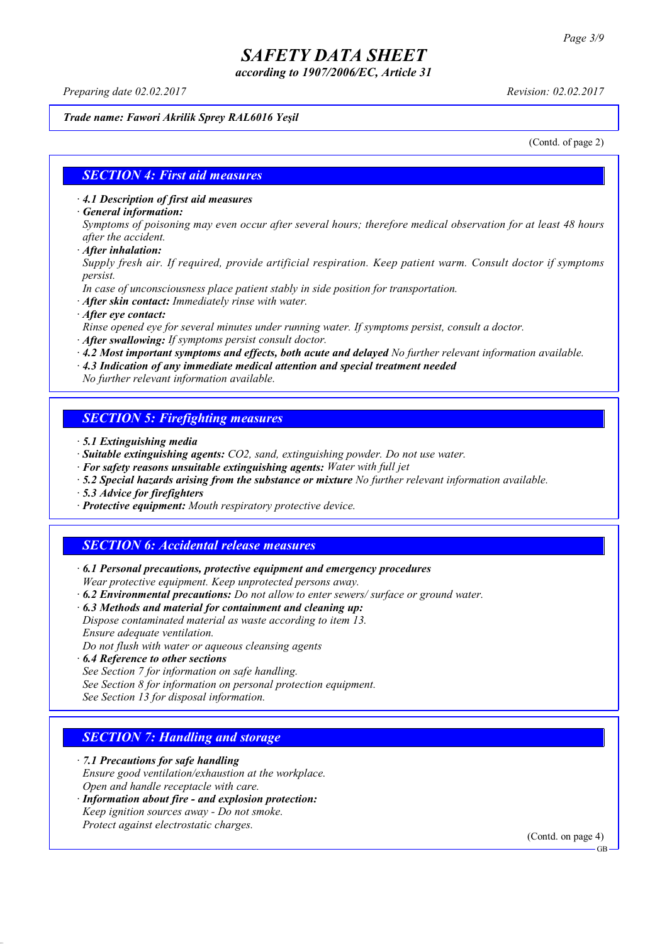*according to 1907/2006/EC, Article 31*

*Preparing date 02.02.2017 Revision: 02.02.2017*

#### *Trade name: Fawori Akrilik Sprey RAL6016 Yeşil*

(Contd. of page 2)

### *SECTION 4: First aid measures*

*· 4.1 Description of first aid measures*

*· General information:*

Symptoms of poisoning may even occur after several hours; therefore medical observation for at least 48 hours *after the accident.*

*· After inhalation:*

*Supply fresh air. If required, provide artificial respiration. Keep patient warm. Consult doctor if symptoms persist.*

*In case of unconsciousness place patient stably in side position for transportation.*

- *· After skin contact: Immediately rinse with water.*
- *· After eye contact:*

*Rinse opened eye for several minutes under running water. If symptoms persist, consult a doctor.*

*· After swallowing: If symptoms persist consult doctor.*

*· 4.2 Most important symptoms and effects, both acute and delayed No further relevant information available.*

*· 4.3 Indication of any immediate medical attention and special treatment needed*

*No further relevant information available.*

### *SECTION 5: Firefighting measures*

- *· 5.1 Extinguishing media*
- *· Suitable extinguishing agents: CO2, sand, extinguishing powder. Do not use water.*
- *· For safety reasons unsuitable extinguishing agents: Water with full jet*
- *· 5.2 Special hazards arising from the substance or mixture No further relevant information available.*
- *· 5.3 Advice for firefighters*
- *· Protective equipment: Mouth respiratory protective device.*

### *SECTION 6: Accidental release measures*

*· 6.1 Personal precautions, protective equipment and emergency procedures Wear protective equipment. Keep unprotected persons away.*

*· 6.2 Environmental precautions: Do not allow to enter sewers/ surface or ground water.*

*· 6.3 Methods and material for containment and cleaning up:*

*Dispose contaminated material as waste according to item 13. Ensure adequate ventilation.*

*Do not flush with water or aqueous cleansing agents*

- *· 6.4 Reference to other sections*
- *See Section 7 for information on safe handling.*

*See Section 8 for information on personal protection equipment.*

*See Section 13 for disposal information.*

### *SECTION 7: Handling and storage*

*· 7.1 Precautions for safe handling*

*Ensure good ventilation/exhaustion at the workplace.*

*Open and handle receptacle with care.*

*· Information about fire - and explosion protection: Keep ignition sources away - Do not smoke.*

*Protect against electrostatic charges.*

(Contd. on page 4)

GB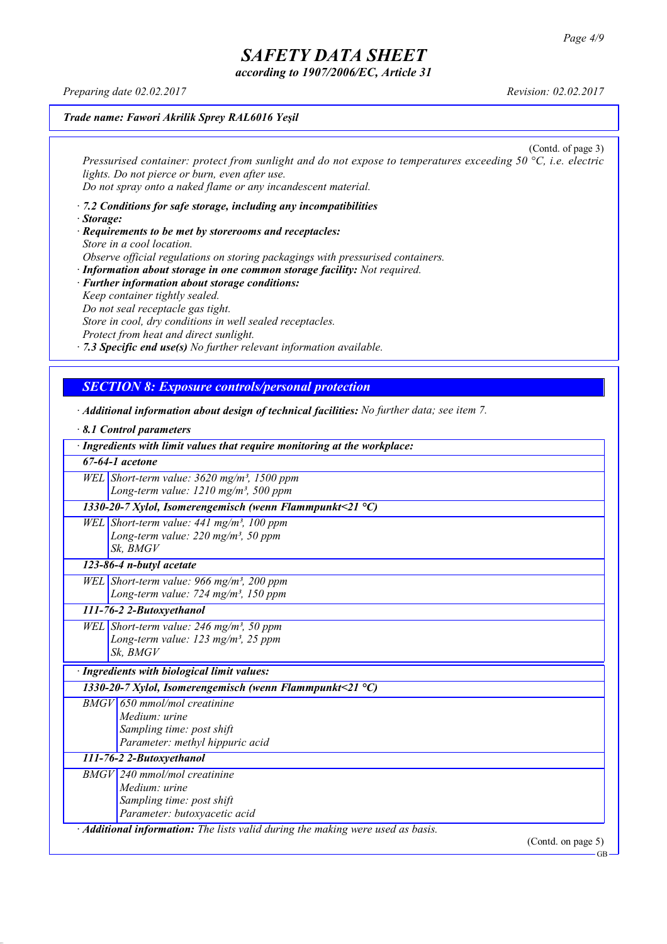*according to 1907/2006/EC, Article 31*

*Preparing date 02.02.2017 Revision: 02.02.2017*

### *Trade name: Fawori Akrilik Sprey RAL6016 Yeşil*

(Contd. of page 3) *Pressurised container: protect from sunlight and do not expose to temperatures exceeding 50 °C, i.e. electric lights. Do not pierce or burn, even after use. Do not spray onto a naked flame or any incandescent material.*

- *· 7.2 Conditions for safe storage, including any incompatibilities · Storage:*
- *· Requirements to be met by storerooms and receptacles: Store in a cool location. Observe official regulations on storing packagings with pressurised containers.*
- *· Information about storage in one common storage facility: Not required. · Further information about storage conditions: Keep container tightly sealed. Do not seal receptacle gas tight. Store in cool, dry conditions in well sealed receptacles. Protect from heat and direct sunlight.*

*· 7.3 Specific end use(s) No further relevant information available.*

### *SECTION 8: Exposure controls/personal protection*

- *· Additional information about design of technical facilities: No further data; see item 7.*
- *· 8.1 Control parameters · Ingredients with limit values that require monitoring at the workplace: 67-64-1 acetone WEL Short-term value: 3620 mg/m³, 1500 ppm Long-term value: 1210 mg/m³, 500 ppm 1330-20-7 Xylol, Isomerengemisch (wenn Flammpunkt<21 °C) WEL Short-term value: 441 mg/m³, 100 ppm Long-term value: 220 mg/m³, 50 ppm Sk, BMGV 123-86-4 n-butyl acetate WEL Short-term value: 966 mg/m³, 200 ppm Long-term value: 724 mg/m³, 150 ppm 111-76-2 2-Butoxyethanol WEL Short-term value: 246 mg/m³, 50 ppm Long-term value: 123 mg/m³, 25 ppm Sk, BMGV · Ingredients with biological limit values: 1330-20-7 Xylol, Isomerengemisch (wenn Flammpunkt<21 °C) BMGV 650 mmol/mol creatinine Medium: urine Sampling time: post shift Parameter: methyl hippuric acid 111-76-2 2-Butoxyethanol BMGV 240 mmol/mol creatinine Medium: urine Sampling time: post shift Parameter: butoxyacetic acid · Additional information: The lists valid during the making were used as basis.* (Contd. on page 5)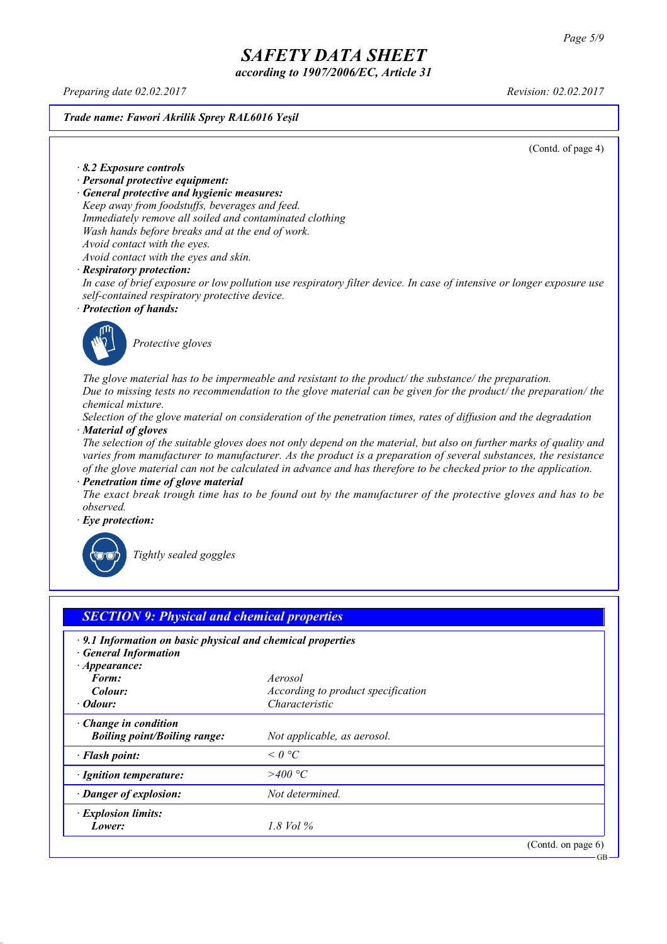*according to 1907/2006/EC, Article 31*

*Preparing date 02.02.2017 Revision: 02.02.2017*

*Trade name: Fawori Akrilik Sprey RAL6016 Yeşil*

(Contd. of page 4)

*· 8.2 Exposure controls*

- *· Personal protective equipment:*
- *· General protective and hygienic measures:*

*Keep away from foodstuffs, beverages and feed. Immediately remove all soiled and contaminated clothing Wash hands before breaks and at the end of work. Avoid contact with the eyes.*

*Avoid contact with the eyes and skin.*

#### *· Respiratory protection:*

In case of brief exposure or low pollution use respiratory filter device. In case of intensive or longer exposure use *self-contained respiratory protective device.*

*· Protection of hands:*



*Protective gloves*

*The glove material has to be impermeable and resistant to the product/ the substance/ the preparation.* Due to missing tests no recommendation to the glove material can be given for the product/ the preparation/ the *chemical mixture.*

Selection of the glove material on consideration of the penetration times, rates of diffusion and the degradation *· Material of gloves*

The selection of the suitable gloves does not only depend on the material, but also on further marks of quality and *varies from manufacturer to manufacturer. As the product is a preparation of several substances, the resistance* of the glove material can not be calculated in advance and has therefore to be checked prior to the application.

*· Penetration time of glove material*

The exact break trough time has to be found out by the manufacturer of the protective gloves and has to be *observed.*

*· Eye protection:*



*Tightly sealed goggles*

| $\cdot$ 9.1 Information on basic physical and chemical properties<br><b>General Information</b> |                                           |  |
|-------------------------------------------------------------------------------------------------|-------------------------------------------|--|
| $\cdot$ Appearance:                                                                             |                                           |  |
| Form:                                                                                           | Aerosol                                   |  |
| Colour:                                                                                         | <i>According to product specification</i> |  |
| $\cdot$ Odour:                                                                                  | Characteristic                            |  |
| Change in condition<br><b>Boiling point/Boiling range:</b>                                      | Not applicable, as aerosol.               |  |
| · Flash point:                                                                                  | $\leq$ 0 °C                               |  |
| · Ignition temperature:                                                                         | >400 °C                                   |  |
| · Danger of explosion:                                                                          | Not determined.                           |  |
| · Explosion limits:                                                                             |                                           |  |
| Lower:                                                                                          | 1.8 Vol $\%$                              |  |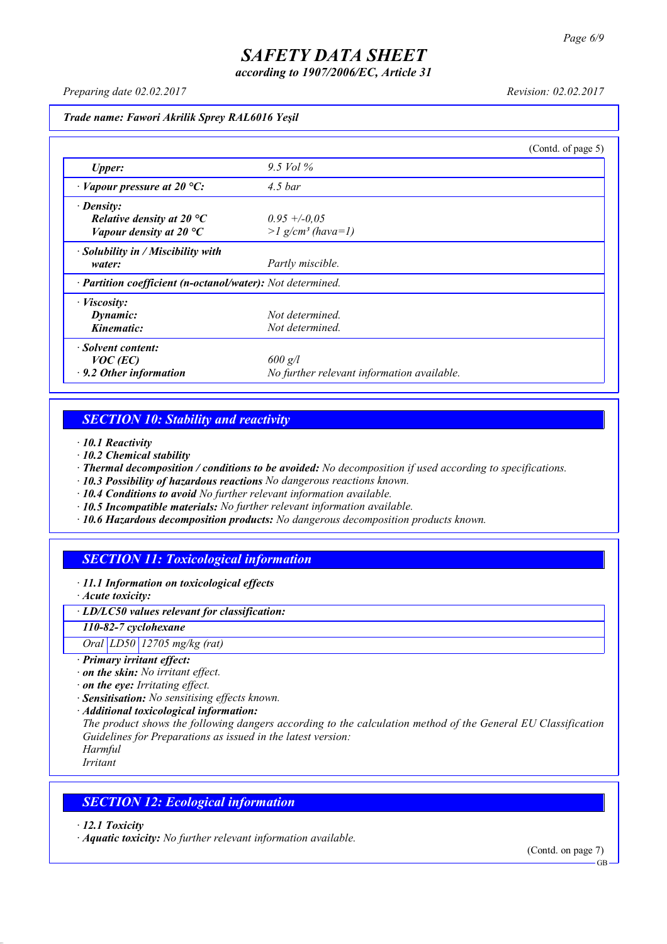*according to 1907/2006/EC, Article 31*

*Preparing date 02.02.2017 Revision: 02.02.2017*

*Trade name: Fawori Akrilik Sprey RAL6016 Yeşil*

|                                                            |                                            | (Contd. of page 5) |
|------------------------------------------------------------|--------------------------------------------|--------------------|
| <b>Upper:</b>                                              | 9.5 Vol $\%$                               |                    |
| $\cdot$ Vapour pressure at 20 °C:                          | $4.5\,bar$                                 |                    |
| $\cdot$ Density:                                           |                                            |                    |
| Relative density at 20 $^{\circ}C$                         | $0.95 + -0.05$                             |                    |
| Vapour density at 20 $^{\circ}C$                           | $>l$ g/cm <sup>3</sup> (hava=1)            |                    |
| $\cdot$ Solubility in / Miscibility with                   |                                            |                    |
| water:                                                     | Partly miscible.                           |                    |
| · Partition coefficient (n-octanol/water): Not determined. |                                            |                    |
| $\cdot$ <i>Viscosity:</i>                                  |                                            |                    |
| Dynamic:                                                   | Not determined.                            |                    |
| Kinematic:                                                 | Not determined.                            |                    |
| · Solvent content:                                         |                                            |                    |
| $VOC$ (EC)                                                 | $600$ g/l                                  |                    |
| $\cdot$ 9.2 Other information                              | No further relevant information available. |                    |

### *SECTION 10: Stability and reactivity*

*· 10.1 Reactivity*

- *· 10.2 Chemical stability*
- *· Thermal decomposition / conditions to be avoided: No decomposition if used according to specifications.*
- *· 10.3 Possibility of hazardous reactions No dangerous reactions known.*
- *· 10.4 Conditions to avoid No further relevant information available.*
- *· 10.5 Incompatible materials: No further relevant information available.*
- *· 10.6 Hazardous decomposition products: No dangerous decomposition products known.*

### *SECTION 11: Toxicological information*

*· 11.1 Information on toxicological effects*

*· Acute toxicity:*

*· LD/LC50 values relevant for classification:*

*110-82-7 cyclohexane*

*Oral LD50 12705 mg/kg (rat)*

- *· Primary irritant effect:*
- *· on the skin: No irritant effect.*
- *· on the eye: Irritating effect.*
- *· Sensitisation: No sensitising effects known.*
- *· Additional toxicological information:*

*The product shows the following dangers according to the calculation method of the General EU Classification Guidelines for Preparations as issued in the latest version:*

*Harmful Irritant*

### *SECTION 12: Ecological information*

*· 12.1 Toxicity*

*· Aquatic toxicity: No further relevant information available.*

(Contd. on page 7)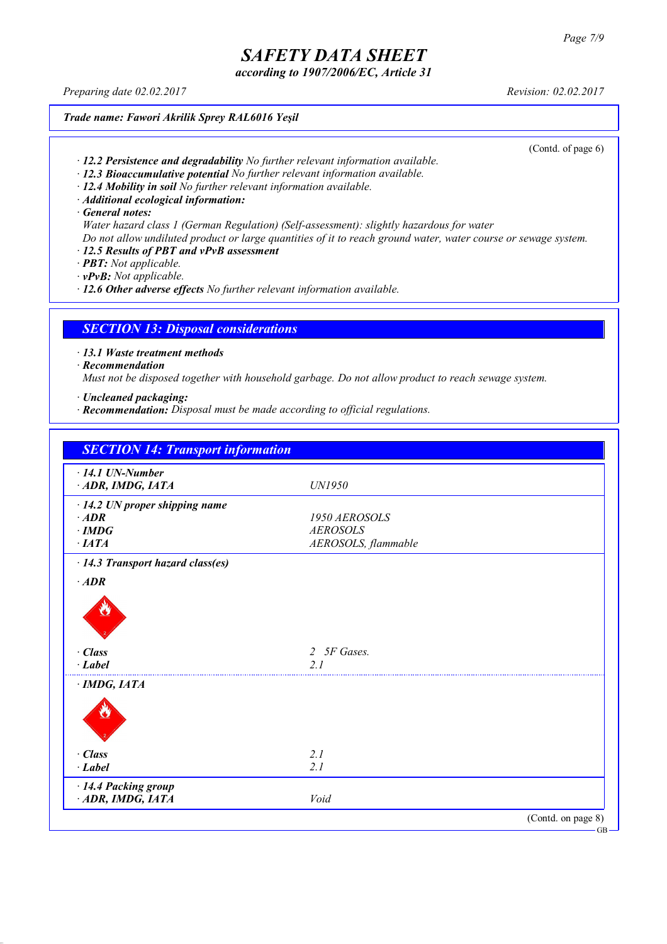*according to 1907/2006/EC, Article 31*

*Preparing date 02.02.2017 Revision: 02.02.2017*

*Trade name: Fawori Akrilik Sprey RAL6016 Yeşil*

(Contd. of page 6)

- *· 12.2 Persistence and degradability No further relevant information available.*
- *· 12.3 Bioaccumulative potential No further relevant information available.*
- *· 12.4 Mobility in soil No further relevant information available.*
- *· Additional ecological information:*

*· General notes:*

- *Water hazard class 1 (German Regulation) (Self-assessment): slightly hazardous for water*
- Do not allow undiluted product or large quantities of it to reach ground water, water course or sewage system.
- *· 12.5 Results of PBT and vPvB assessment*
- *· PBT: Not applicable.*
- *· vPvB: Not applicable.*

*· 12.6 Other adverse effects No further relevant information available.*

### *SECTION 13: Disposal considerations*

*· 13.1 Waste treatment methods*

*· Recommendation*

*Must not be disposed together with household garbage. Do not allow product to reach sewage system.*

- *· Uncleaned packaging:*
- *· Recommendation: Disposal must be made according to official regulations.*

| $\cdot$ 14.1 UN-Number                  |                     |  |
|-----------------------------------------|---------------------|--|
| ADR, IMDG, IATA                         | UN1950              |  |
| $\cdot$ 14.2 UN proper shipping name    |                     |  |
| $\cdot$ ADR                             | 1950 AEROSOLS       |  |
| $\cdot$ IMDG                            | <b>AEROSOLS</b>     |  |
| $\cdot$ IATA                            | AEROSOLS, flammable |  |
| $\cdot$ 14.3 Transport hazard class(es) |                     |  |
| $\cdot$ ADR                             |                     |  |
| · Class                                 | 2 5F Gases.         |  |
| $\cdot$ Label                           | 2.1                 |  |
| $\cdot$ IMDG, IATA                      |                     |  |
|                                         |                     |  |
| $\cdot$ Class                           | 2.1                 |  |
| $\cdot$ Label                           | 2.1                 |  |
| · 14.4 Packing group                    |                     |  |
| ADR, IMDG, IATA                         | Void                |  |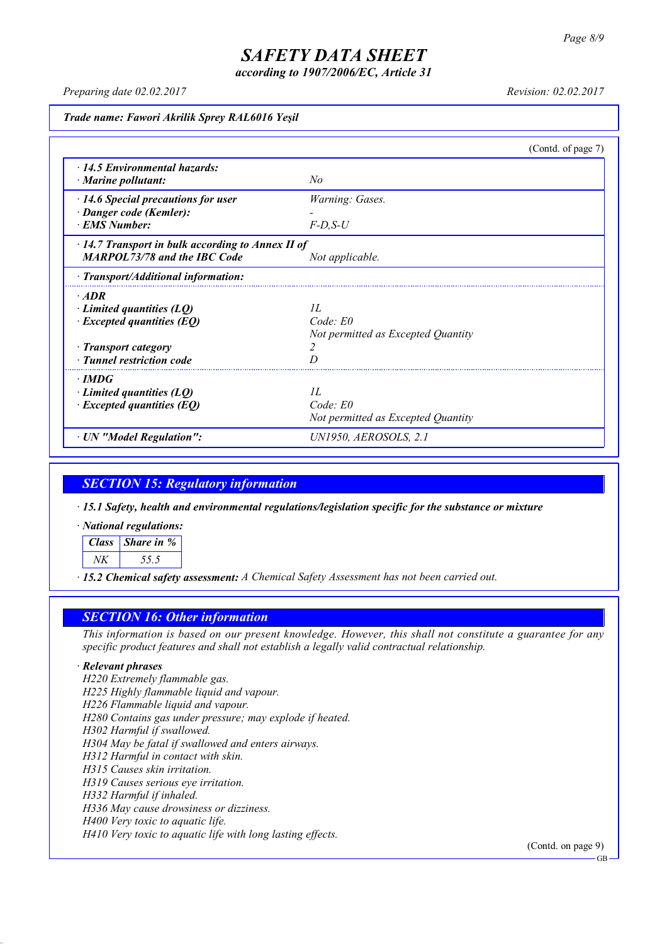*according to 1907/2006/EC, Article 31*

*Preparing date 02.02.2017 Revision: 02.02.2017*

*Trade name: Fawori Akrilik Sprey RAL6016 Yeşil*

|                                                         | (Contd. of page 7)                 |  |
|---------------------------------------------------------|------------------------------------|--|
| $\cdot$ 14.5 Environmental hazards:                     |                                    |  |
| $\cdot$ Marine pollutant:                               | No                                 |  |
| $\cdot$ 14.6 Special precautions for user               | Warning: Gases.                    |  |
| · Danger code (Kemler):                                 |                                    |  |
| <b>EMS Number:</b>                                      | $F-D$ , $S-U$                      |  |
| $\cdot$ 14.7 Transport in bulk according to Annex II of |                                    |  |
| <b>MARPOL73/78 and the IBC Code</b>                     | Not applicable.                    |  |
| $\cdot$ Transport/Additional information:               |                                    |  |
| $\cdot$ ADR                                             |                                    |  |
| $\cdot$ Limited quantities (LQ)                         | II.                                |  |
| $\cdot$ Excepted quantities (EQ)                        | $Code$ : $E0$                      |  |
|                                                         | Not permitted as Excepted Quantity |  |
| · Transport category                                    | 2                                  |  |
| · Tunnel restriction code                               |                                    |  |
| $\cdot$ IMDG                                            |                                    |  |
| $\cdot$ Limited quantities (LQ)                         | II.                                |  |
| $\cdot$ Excepted quantities (EQ)                        | $Code$ $E0$                        |  |
|                                                         | Not permitted as Excepted Quantity |  |
| · UN "Model Regulation":                                | UN1950, AEROSOLS, 2.1              |  |

### *SECTION 15: Regulatory information*

*· 15.1 Safety, health and environmental regulations/legislation specific for the substance or mixture*

*· National regulations:*

*Class Share in % NK 55.5*

*· 15.2 Chemical safety assessment: A Chemical Safety Assessment has not been carried out.*

### *SECTION 16: Other information*

This information is based on our present knowledge. However, this shall not constitute a guarantee for any *specific product features and shall not establish a legally valid contractual relationship.*

#### *· Relevant phrases*

*H220 Extremely flammable gas. H225 Highly flammable liquid and vapour. H226 Flammable liquid and vapour. H280 Contains gas under pressure; may explode if heated. H302 Harmful if swallowed. H304 May be fatal if swallowed and enters airways. H312 Harmful in contact with skin. H315 Causes skin irritation. H319 Causes serious eye irritation. H332 Harmful if inhaled. H336 May cause drowsiness or dizziness. H400 Very toxic to aquatic life. H410 Very toxic to aquatic life with long lasting effects.*

(Contd. on page 9)